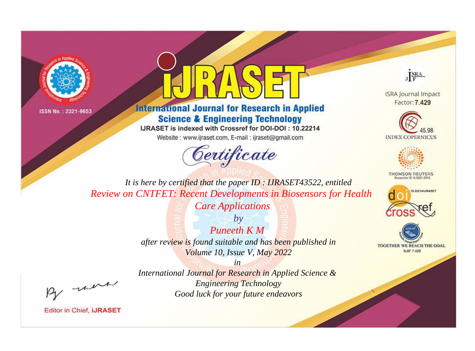



## **International Journal for Research in Applied Science & Engineering Technology**

IJRASET is indexed with Crossref for DOI-DOI: 10.22214

Website: www.ijraset.com, E-mail: ijraset@gmail.com





**ISRA Journal Impact** Factor: 7.429





**THOMSON REUTERS** 



TOGETHER WE REACH THE GOAL **SJIF 7.429** 

*It is here by certified that the paper ID : IJRASET43522, entitled Review on CNTFET: Recent Developments in Biosensors for Health* 

*Care Applications*

*by Puneeth K M after review is found suitable and has been published in Volume 10, Issue V, May 2022*

*in International Journal for Research in Applied Science & Engineering Technology Good luck for your future endeavors*

, un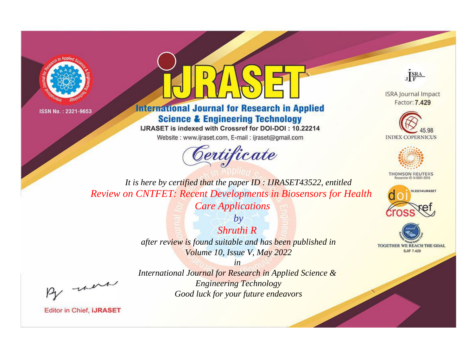



**International Journal for Research in Applied Science & Engineering Technology** 

IJRASET is indexed with Crossref for DOI-DOI: 10.22214

Website: www.ijraset.com, E-mail: ijraset@gmail.com





**ISRA Journal Impact** Factor: 7.429





**THOMSON REUTERS** 



TOGETHER WE REACH THE GOAL **SJIF 7.429** 

*It is here by certified that the paper ID : IJRASET43522, entitled Review on CNTFET: Recent Developments in Biosensors for Health* 

*Care Applications*

*Shruthi R after review is found suitable and has been published in Volume 10, Issue V, May 2022*

*in* 

*by*

, un

*International Journal for Research in Applied Science & Engineering Technology Good luck for your future endeavors*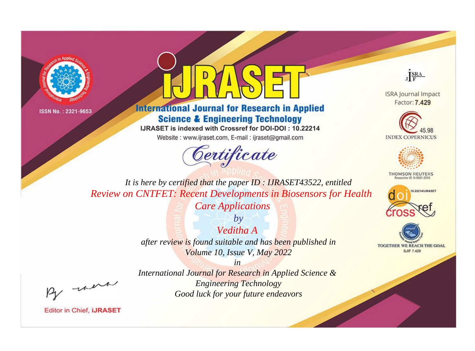



**International Journal for Research in Applied Science & Engineering Technology** 

IJRASET is indexed with Crossref for DOI-DOI: 10.22214

Website: www.ijraset.com, E-mail: ijraset@gmail.com





**ISRA Journal Impact** Factor: 7.429





**THOMSON REUTERS** 



TOGETHER WE REACH THE GOAL **SJIF 7.429** 

*It is here by certified that the paper ID : IJRASET43522, entitled Review on CNTFET: Recent Developments in Biosensors for Health* 

*Care Applications*

*Veditha A after review is found suitable and has been published in Volume 10, Issue V, May 2022*

*in* 

*by*

*International Journal for Research in Applied Science & Engineering Technology Good luck for your future endeavors*

, un